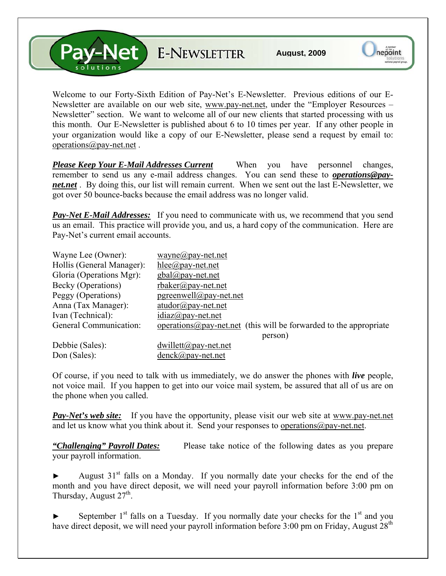V-Net E-NEWSLETTER

Welcome to our Forty-Sixth Edition of Pay-Net's E-Newsletter. Previous editions of our E-Newsletter are available on our web site, [www.pay-net.net](http://www.pay-net.net/), under the "Employer Resources – Newsletter" section. We want to welcome all of our new clients that started processing with us this month. Our E-Newsletter is published about 6 to 10 times per year. If any other people in your organization would like a copy of our E-Newsletter, please send a request by email to: [operations@pay-net.net](mailto:operations@pay-net.net) .

*Please Keep Your E-Mail Addresses Current* When you have personnel changes, remember to send us any e-mail address changes. You can send these to *[operations@pay](mailto:operations@pay-net.net)[net.net](mailto:operations@pay-net.net)* . By doing this, our list will remain current. When we sent out the last E-Newsletter, we got over 50 bounce-backs because the email address was no longer valid.

**Pay-Net E-Mail Addresses:** If you need to communicate with us, we recommend that you send us an email. This practice will provide you, and us, a hard copy of the communication. Here are Pay-Net's current email accounts.

| Wayne Lee (Owner):        | wayne@pay-net.net                                                          |
|---------------------------|----------------------------------------------------------------------------|
| Hollis (General Manager): | $hlee(\partial p$ ay-net.net                                               |
| Gloria (Operations Mgr):  | $gbal@pay-net.net$                                                         |
| Becky (Operations)        | $r$ baker@pay-net.net                                                      |
| Peggy (Operations)        | $pgreenwell@pay-net.net$                                                   |
| Anna (Tax Manager):       | $atudor@pay-net.net$                                                       |
| Ivan (Technical):         | $idiaz(\omega)$ pay-net.net                                                |
| General Communication:    | operations $\omega$ pay-net net (this will be forwarded to the appropriate |
|                           | person)                                                                    |
| Debbie (Sales):           | $dwillett@pay-net.net$                                                     |
| Don (Sales):              | $denck@pay-net.net$                                                        |

Of course, if you need to talk with us immediately, we do answer the phones with *live* people, not voice mail. If you happen to get into our voice mail system, be assured that all of us are on the phone when you called.

*Pay-Net's web site:* If you have the opportunity, please visit our web site at [www.pay-net.net](http://www.pay-net.net/)  and let us know what you think about it. Send your responses to [operations@pay-net.net](mailto:website@pay-net.net).

*"Challenging" Payroll Dates:* Please take notice of the following dates as you prepare your payroll information.

August  $31<sup>st</sup>$  falls on a Monday. If you normally date your checks for the end of the month and you have direct deposit, we will need your payroll information before 3:00 pm on Thursday, August  $27<sup>th</sup>$ .

September  $1<sup>st</sup>$  falls on a Tuesday. If you normally date your checks for the  $1<sup>st</sup>$  and you have direct deposit, we will need your payroll information before  $3:00$  pm on Friday, August  $28<sup>th</sup>$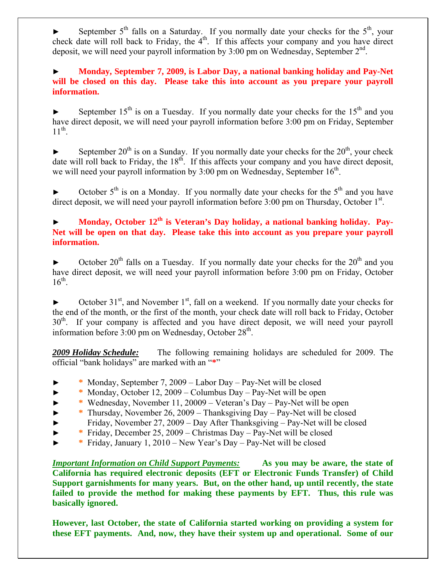September  $5<sup>th</sup>$  falls on a Saturday. If you normally date your checks for the  $5<sup>th</sup>$ , your check date will roll back to Friday, the  $4<sup>th</sup>$ . If this affects your company and you have direct deposit, we will need your payroll information by  $3:00$  pm on Wednesday, September  $2<sup>nd</sup>$ .

► **Monday, September 7, 2009, is Labor Day, a national banking holiday and Pay-Net will be closed on this day. Please take this into account as you prepare your payroll information.**

► September 15<sup>th</sup> is on a Tuesday. If you normally date your checks for the 15<sup>th</sup> and you have direct deposit, we will need your payroll information before 3:00 pm on Friday, September  $11^{th}$ .

► September 20<sup>th</sup> is on a Sunday. If you normally date your checks for the  $20<sup>th</sup>$ , your check date will roll back to Friday, the  $18<sup>th</sup>$ . If this affects your company and you have direct deposit, we will need your payroll information by  $3:00$  pm on Wednesday, September  $16<sup>th</sup>$ .

► October  $5<sup>th</sup>$  is on a Monday. If you normally date your checks for the  $5<sup>th</sup>$  and you have direct deposit, we will need your payroll information before 3:00 pm on Thursday, October 1<sup>st</sup>.

## Monday, October 12<sup>th</sup> is Veteran's Day holiday, a national banking holiday. Pay-**Net will be open on that day. Please take this into account as you prepare your payroll information.**

October  $20^{th}$  falls on a Tuesday. If you normally date your checks for the  $20^{th}$  and you have direct deposit, we will need your payroll information before 3:00 pm on Friday, October  $16^{th}$ .

October  $31<sup>st</sup>$ , and November  $1<sup>st</sup>$ , fall on a weekend. If you normally date your checks for the end of the month, or the first of the month, your check date will roll back to Friday, October  $30<sup>th</sup>$ . If your company is affected and you have direct deposit, we will need your payroll information before 3:00 pm on Wednesday, October 28<sup>th</sup>.

*2009 Holiday Schedule:* The following remaining holidays are scheduled for 2009. The official "bank holidays" are marked with an "**\***"

- ► **\*** Monday, September 7, 2009 Labor Day Pay-Net will be closed
- ► **\*** Monday, October 12, 2009 Columbus Day Pay-Net will be open
- ► **\*** Wednesday, November 11, 20009 Veteran's Day Pay-Net will be open
- ► **\*** Thursday, November 26, 2009 Thanksgiving Day Pay-Net will be closed
- ► Friday, November 27, 2009 Day After Thanksgiving Pay-Net will be closed
- ► **\*** Friday, December 25, 2009 Christmas Day Pay-Net will be closed
- ► **\*** Friday, January 1, 2010 New Year's Day Pay-Net will be closed

*Important Information on Child Support Payments:* **As you may be aware, the state of California has required electronic deposits (EFT or Electronic Funds Transfer) of Child Support garnishments for many years. But, on the other hand, up until recently, the state failed to provide the method for making these payments by EFT. Thus, this rule was basically ignored.** 

**However, last October, the state of California started working on providing a system for these EFT payments. And, now, they have their system up and operational. Some of our**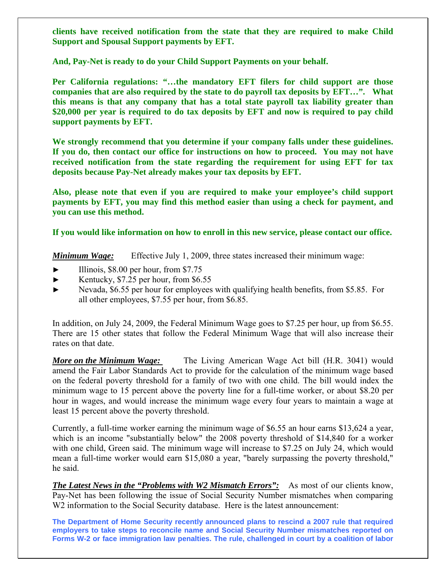**clients have received notification from the state that they are required to make Child Support and Spousal Support payments by EFT.** 

**And, Pay-Net is ready to do your Child Support Payments on your behalf.** 

**Per California regulations: "…the mandatory EFT filers for child support are those companies that are also required by the state to do payroll tax deposits by EFT…". What this means is that any company that has a total state payroll tax liability greater than \$20,000 per year is required to do tax deposits by EFT and now is required to pay child support payments by EFT.** 

**We strongly recommend that you determine if your company falls under these guidelines. If you do, then contact our office for instructions on how to proceed. You may not have received notification from the state regarding the requirement for using EFT for tax deposits because Pay-Net already makes your tax deposits by EFT.** 

**Also, please note that even if you are required to make your employee's child support payments by EFT, you may find this method easier than using a check for payment, and you can use this method.** 

**If you would like information on how to enroll in this new service, please contact our office.** 

*Minimum Wage:* Effective July 1, 2009, three states increased their minimum wage:

- Illinois,  $$8.00$  per hour, from  $$7.75$
- ► Kentucky, \$7.25 per hour, from \$6.55
- ► Nevada, \$6.55 per hour for employees with qualifying health benefits, from \$5.85. For all other employees, \$7.55 per hour, from \$6.85.

In addition, on July 24, 2009, the Federal Minimum Wage goes to \$7.25 per hour, up from \$6.55. There are 15 other states that follow the Federal Minimum Wage that will also increase their rates on that date.

*More on the Minimum Wage:* The Living American Wage Act bill (H.R. 3041) would amend the Fair Labor Standards Act to provide for the calculation of the minimum wage based on the federal poverty threshold for a family of two with one child. The bill would index the minimum wage to 15 percent above the poverty line for a full-time worker, or about \$8.20 per hour in wages, and would increase the minimum wage every four years to maintain a wage at least 15 percent above the poverty threshold.

Currently, a full-time worker earning the minimum wage of \$6.55 an hour earns \$13,624 a year, which is an income "substantially below" the 2008 poverty threshold of \$14,840 for a worker with one child, Green said. The minimum wage will increase to \$7.25 on July 24, which would mean a full-time worker would earn \$15,080 a year, "barely surpassing the poverty threshold," he said.

*The Latest News in the "Problems with W2 Mismatch Errors":* As most of our clients know, Pay-Net has been following the issue of Social Security Number mismatches when comparing W2 information to the Social Security database. Here is the latest announcement:

**The Department of Home Security recently announced plans to rescind a 2007 rule that required employers to take steps to reconcile name and Social Security Number mismatches reported on Forms W-2 or face immigration law penalties. The rule, challenged in court by a coalition of labor**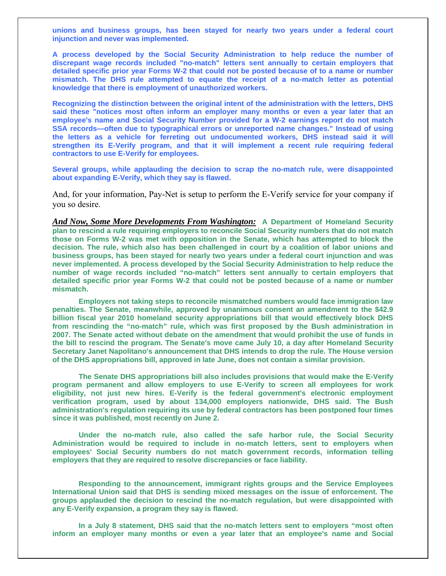**unions and business groups, has been stayed for nearly two years under a federal court injunction and never was implemented.** 

**A process developed by the Social Security Administration to help reduce the number of discrepant wage records included "no-match" letters sent annually to certain employers that detailed specific prior year Forms W-2 that could not be posted because of to a name or number mismatch. The DHS rule attempted to equate the receipt of a no-match letter as potential knowledge that there is employment of unauthorized workers.** 

**Recognizing the distinction between the original intent of the administration with the letters, DHS said these "notices most often inform an employer many months or even a year later that an employee's name and Social Security Number provided for a W-2 earnings report do not match SSA records—often due to typographical errors or unreported name changes." Instead of using the letters as a vehicle for ferreting out undocumented workers, DHS instead said it will strengthen its E-Verify program, and that it will implement a recent rule requiring federal contractors to use E-Verify for employees.**

**Several groups, while applauding the decision to scrap the no-match rule, were disappointed about expanding E-Verify, which they say is flawed.** 

And, for your information, Pay-Net is setup to perform the E-Verify service for your company if you so desire.

*And Now, Some More Developments From Washington:* **A Department of Homeland Security plan to rescind a rule requiring employers to reconcile Social Security numbers that do not match those on Forms W-2 was met with opposition in the Senate, which has attempted to block the decision. The rule, which also has been challenged in court by a coalition of labor unions and business groups, has been stayed for nearly two years under a federal court injunction and was never implemented. A process developed by the Social Security Administration to help reduce the number of wage records included "no-match" letters sent annually to certain employers that detailed specific prior year Forms W-2 that could not be posted because of a name or number mismatch.** 

**Employers not taking steps to reconcile mismatched numbers would face immigration law penalties. The Senate, meanwhile, approved by unanimous consent an amendment to the \$42.9 billion fiscal year 2010 homeland security appropriations bill that would effectively block DHS from rescinding the "no-match" rule, which was first proposed by the Bush administration in 2007. The Senate acted without debate on the amendment that would prohibit the use of funds in the bill to rescind the program. The Senate's move came July 10, a day after Homeland Security Secretary Janet Napolitano's announcement that DHS intends to drop the rule. The House version of the DHS appropriations bill, approved in late June, does not contain a similar provision.** 

**The Senate DHS appropriations bill also includes provisions that would make the E-Verify program permanent and allow employers to use E-Verify to screen all employees for work eligibility, not just new hires. E-Verify is the federal government's electronic employment verification program, used by about 134,000 employers nationwide, DHS said. The Bush administration's regulation requiring its use by federal contractors has been postponed four times since it was published, most recently on June 2.** 

**Under the no-match rule, also called the safe harbor rule, the Social Security Administration would be required to include in no-match letters, sent to employers when employees' Social Security numbers do not match government records, information telling employers that they are required to resolve discrepancies or face liability.** 

**Responding to the announcement, immigrant rights groups and the Service Employees International Union said that DHS is sending mixed messages on the issue of enforcement. The groups applauded the decision to rescind the no-match regulation, but were disappointed with any E-Verify expansion, a program they say is flawed.** 

**In a July 8 statement, DHS said that the no-match letters sent to employers "most often inform an employer many months or even a year later that an employee's name and Social**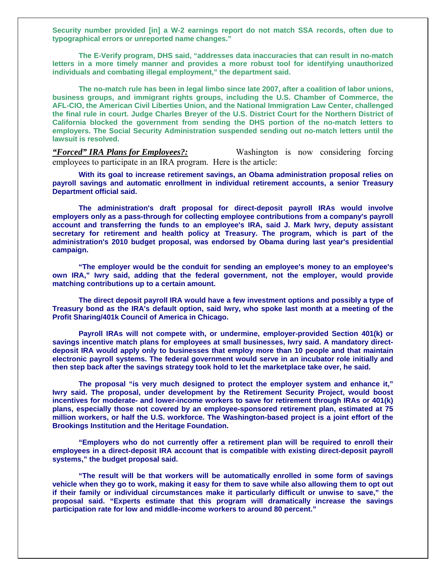**Security number provided [in] a W-2 earnings report do not match SSA records, often due to typographical errors or unreported name changes."** 

**The E-Verify program, DHS said, "addresses data inaccuracies that can result in no-match letters in a more timely manner and provides a more robust tool for identifying unauthorized individuals and combating illegal employment," the department said.** 

**The no-match rule has been in legal limbo since late 2007, after a coalition of labor unions, business groups, and immigrant rights groups, including the U.S. Chamber of Commerce, the AFL-CIO, the American Civil Liberties Union, and the National Immigration Law Center, challenged the final rule in court. Judge Charles Breyer of the U.S. District Court for the Northern District of California blocked the government from sending the DHS portion of the no-match letters to employers. The Social Security Administration suspended sending out no-match letters until the lawsuit is resolved.**

*"Forced" IRA Plans for Employees?:* Washington is now considering forcing employees to participate in an IRA program. Here is the article:

**With its goal to increase retirement savings, an Obama administration proposal relies on payroll savings and automatic enrollment in individual retirement accounts, a senior Treasury Department official said.** 

**The administration's draft proposal for direct-deposit payroll IRAs would involve employers only as a pass-through for collecting employee contributions from a company's payroll account and transferring the funds to an employee's IRA, said J. Mark Iwry, deputy assistant secretary for retirement and health policy at Treasury. The program, which is part of the administration's 2010 budget proposal, was endorsed by Obama during last year's presidential campaign.** 

**"The employer would be the conduit for sending an employee's money to an employee's own IRA," Iwry said, adding that the federal government, not the employer, would provide matching contributions up to a certain amount.** 

**The direct deposit payroll IRA would have a few investment options and possibly a type of Treasury bond as the IRA's default option, said Iwry, who spoke last month at a meeting of the Profit Sharing/401k Council of America in Chicago.** 

**Payroll IRAs will not compete with, or undermine, employer-provided Section 401(k) or savings incentive match plans for employees at small businesses, Iwry said. A mandatory directdeposit IRA would apply only to businesses that employ more than 10 people and that maintain electronic payroll systems. The federal government would serve in an incubator role initially and then step back after the savings strategy took hold to let the marketplace take over, he said.** 

**The proposal "is very much designed to protect the employer system and enhance it," Iwry said. The proposal, under development by the Retirement Security Project, would boost incentives for moderate- and lower-income workers to save for retirement through IRAs or 401(k) plans, especially those not covered by an employee-sponsored retirement plan, estimated at 75 million workers, or half the U.S. workforce. The Washington-based project is a joint effort of the Brookings Institution and the Heritage Foundation.** 

**"Employers who do not currently offer a retirement plan will be required to enroll their employees in a direct-deposit IRA account that is compatible with existing direct-deposit payroll systems," the budget proposal said.** 

**"The result will be that workers will be automatically enrolled in some form of savings vehicle when they go to work, making it easy for them to save while also allowing them to opt out if their family or individual circumstances make it particularly difficult or unwise to save," the proposal said. "Experts estimate that this program will dramatically increase the savings participation rate for low and middle-income workers to around 80 percent."**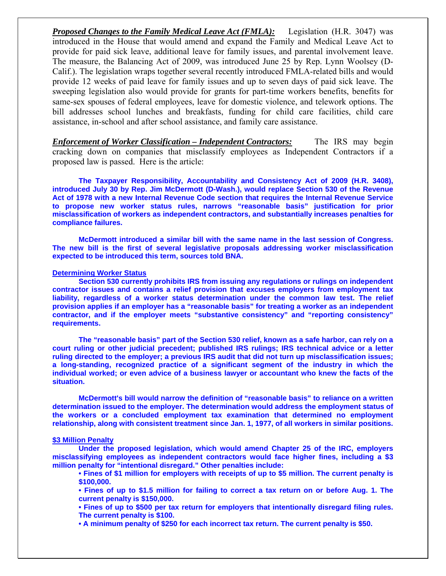*Proposed Changes to the Family Medical Leave Act (FMLA):* Legislation (H.R. 3047) was introduced in the House that would amend and expand the Family and Medical Leave Act to provide for paid sick leave, additional leave for family issues, and parental involvement leave. The measure, the Balancing Act of 2009, was introduced June 25 by Rep. Lynn Woolsey (D-Calif.). The legislation wraps together several recently introduced FMLA-related bills and would provide 12 weeks of paid leave for family issues and up to seven days of paid sick leave. The sweeping legislation also would provide for grants for part-time workers benefits, benefits for same-sex spouses of federal employees, leave for domestic violence, and telework options. The bill addresses school lunches and breakfasts, funding for child care facilities, child care assistance, in-school and after school assistance, and family care assistance.

*Enforcement of Worker Classification – Independent Contractors:* The IRS may begin cracking down on companies that misclassify employees as Independent Contractors if a proposed law is passed. Here is the article:

**The Taxpayer Responsibility, Accountability and Consistency Act of 2009 (H.R. 3408), introduced July 30 by Rep. Jim McDermott (D-Wash.), would replace Section 530 of the Revenue Act of 1978 with a new Internal Revenue Code section that requires the Internal Revenue Service to propose new worker status rules, narrows "reasonable basis" justification for prior misclassification of workers as independent contractors, and substantially increases penalties for compliance failures.** 

**McDermott introduced a similar bill with the same name in the last session of Congress. The new bill is the first of several legislative proposals addressing worker misclassification expected to be introduced this term, sources told BNA.** 

## **Determining Worker Status**

**Section 530 currently prohibits IRS from issuing any regulations or rulings on independent contractor issues and contains a relief provision that excuses employers from employment tax liability, regardless of a worker status determination under the common law test. The relief provision applies if an employer has a "reasonable basis" for treating a worker as an independent contractor, and if the employer meets "substantive consistency" and "reporting consistency" requirements.** 

**The "reasonable basis" part of the Section 530 relief, known as a safe harbor, can rely on a court ruling or other judicial precedent; published IRS rulings; IRS technical advice or a letter ruling directed to the employer; a previous IRS audit that did not turn up misclassification issues; a long-standing, recognized practice of a significant segment of the industry in which the individual worked; or even advice of a business lawyer or accountant who knew the facts of the situation.** 

**McDermott's bill would narrow the definition of "reasonable basis" to reliance on a written determination issued to the employer. The determination would address the employment status of the workers or a concluded employment tax examination that determined no employment relationship, along with consistent treatment since Jan. 1, 1977, of all workers in similar positions.** 

## **\$3 Million Penalty**

**Under the proposed legislation, which would amend Chapter 25 of the IRC, employers misclassifying employees as independent contractors would face higher fines, including a \$3 million penalty for "intentional disregard." Other penalties include:** 

- **Fines of \$1 million for employers with receipts of up to \$5 million. The current penalty is \$100,000.**
- **Fines of up to \$1.5 million for failing to correct a tax return on or before Aug. 1. The current penalty is \$150,000.**
- **Fines of up to \$500 per tax return for employers that intentionally disregard filing rules. The current penalty is \$100.**
- **A minimum penalty of \$250 for each incorrect tax return. The current penalty is \$50.**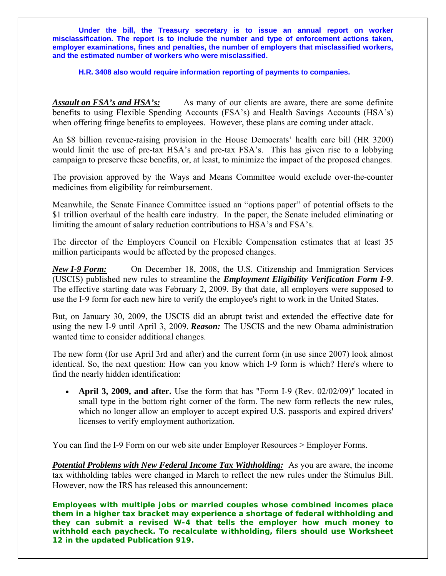**Under the bill, the Treasury secretary is to issue an annual report on worker misclassification. The report is to include the number and type of enforcement actions taken, employer examinations, fines and penalties, the number of employers that misclassified workers, and the estimated number of workers who were misclassified.** 

**H.R. 3408 also would require information reporting of payments to companies.** 

*Assault on FSA's and HSA's:* As many of our clients are aware, there are some definite benefits to using Flexible Spending Accounts (FSA's) and Health Savings Accounts (HSA's) when offering fringe benefits to employees. However, these plans are coming under attack.

An \$8 billion revenue-raising provision in the House Democrats' health care bill (HR 3200) would limit the use of pre-tax HSA's and pre-tax FSA's. This has given rise to a lobbying campaign to preserve these benefits, or, at least, to minimize the impact of the proposed changes.

The provision approved by the Ways and Means Committee would exclude over-the-counter medicines from eligibility for reimbursement.

Meanwhile, the Senate Finance Committee issued an "options paper" of potential offsets to the \$1 trillion overhaul of the health care industry. In the paper, the Senate included eliminating or limiting the amount of salary reduction contributions to HSA's and FSA's.

The director of the Employers Council on Flexible Compensation estimates that at least 35 million participants would be affected by the proposed changes.

*New I-9 Form:* On December 18, 2008, the U.S. Citizenship and Immigration Services (USCIS) published new rules to streamline the *Employment Eligibility Verification Form I-9*. The effective starting date was February 2, 2009. By that date, all employers were supposed to use the I-9 form for each new hire to verify the employee's right to work in the United States.

But, on January 30, 2009, the USCIS did an abrupt twist and extended the effective date for using the new I-9 until April 3, 2009. *Reason:* The USCIS and the new Obama administration wanted time to consider additional changes.

The new form (for use April 3rd and after) and the current form (in use since 2007) look almost identical. So, the next question: How can you know which I-9 form is which? Here's where to find the nearly hidden identification:

• **April 3, 2009, and after.** Use the form that has "Form I-9 (Rev. 02/02/09)" located in small type in the bottom right corner of the form. The new form reflects the new rules, which no longer allow an employer to accept expired U.S. passports and expired drivers' licenses to verify employment authorization.

You can find the I-9 Form on our web site under Employer Resources > Employer Forms.

*Potential Problems with New Federal Income Tax Withholding:* As you are aware, the income tax withholding tables were changed in March to reflect the new rules under the Stimulus Bill. However, now the IRS has released this announcement:

**Employees with multiple jobs or married couples whose combined incomes place them in a higher tax bracket may experience a shortage of federal withholding and they can submit a revised W-4 that tells the employer how much money to withhold each paycheck. To recalculate withholding, filers should use Worksheet 12 in the updated Publication 919.**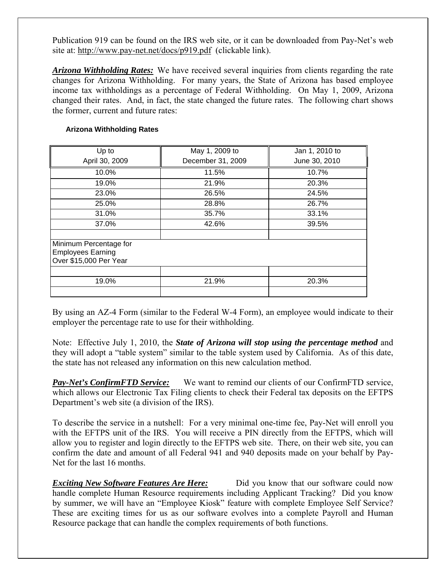Publication 919 can be found on the IRS web site, or it can be downloaded from Pay-Net's web site at: <http://www.pay-net.net/docs/p919.pdf>(clickable link).

*Arizona Withholding Rates:* We have received several inquiries from clients regarding the rate changes for Arizona Withholding. For many years, the State of Arizona has based employee income tax withholdings as a percentage of Federal Withholding. On May 1, 2009, Arizona changed their rates. And, in fact, the state changed the future rates. The following chart shows the former, current and future rates:

## **Arizona Withholding Rates**

| Up to<br>April 30, 2009                                                      | May 1, 2009 to<br>December 31, 2009 | Jan 1, 2010 to<br>June 30, 2010 |
|------------------------------------------------------------------------------|-------------------------------------|---------------------------------|
| 10.0%                                                                        | 11.5%                               | 10.7%                           |
| 19.0%                                                                        | 21.9%                               | 20.3%                           |
| 23.0%                                                                        | 26.5%                               | 24.5%                           |
| 25.0%                                                                        | 28.8%                               | 26.7%                           |
| 31.0%                                                                        | 35.7%                               | 33.1%                           |
| 37.0%                                                                        | 42.6%                               | 39.5%                           |
|                                                                              |                                     |                                 |
| Minimum Percentage for<br><b>Employees Earning</b><br>Over \$15,000 Per Year |                                     |                                 |
|                                                                              |                                     |                                 |
| 19.0%                                                                        | 21.9%                               | 20.3%                           |
|                                                                              |                                     |                                 |

By using an AZ-4 Form (similar to the Federal W-4 Form), an employee would indicate to their employer the percentage rate to use for their withholding.

Note: Effective July 1, 2010, the *State of Arizona will stop using the percentage method* and they will adopt a "table system" similar to the table system used by California. As of this date, the state has not released any information on this new calculation method.

*Pay-Net's ConfirmFTD Service:* We want to remind our clients of our ConfirmFTD service, which allows our Electronic Tax Filing clients to check their Federal tax deposits on the EFTPS Department's web site (a division of the IRS).

To describe the service in a nutshell: For a very minimal one-time fee, Pay-Net will enroll you with the EFTPS unit of the IRS. You will receive a PIN directly from the EFTPS, which will allow you to register and login directly to the EFTPS web site. There, on their web site, you can confirm the date and amount of all Federal 941 and 940 deposits made on your behalf by Pay-Net for the last 16 months.

**Exciting New Software Features Are Here:** Did you know that our software could now handle complete Human Resource requirements including Applicant Tracking? Did you know by summer, we will have an "Employee Kiosk" feature with complete Employee Self Service? These are exciting times for us as our software evolves into a complete Payroll and Human Resource package that can handle the complex requirements of both functions.